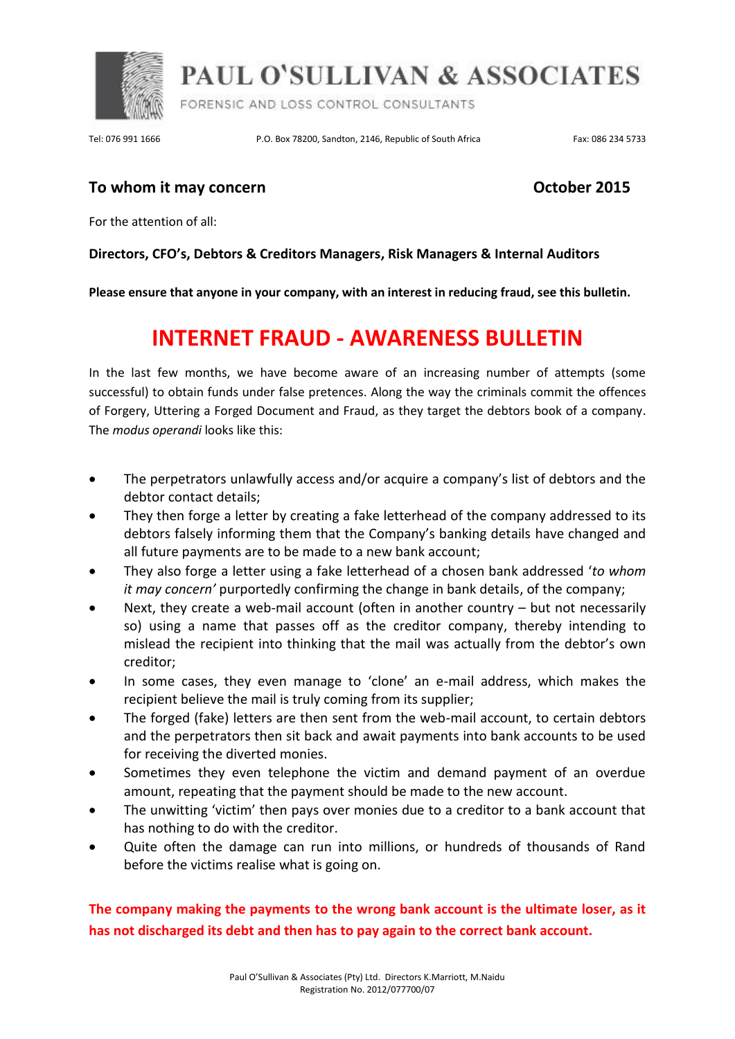

**PAUL O'SULLIVAN & ASSOCIATES** 

FORENSIC AND LOSS CONTROL CONSULTANTS

Tel: 076 991 1666 P.O. Box 78200, Sandton, 2146, Republic of South Africa Fax: 086 234 5733

### **To whom it may concern COLOGIST 2015**

For the attention of all:

### **Directors, CFO's, Debtors & Creditors Managers, Risk Managers & Internal Auditors**

**Please ensure that anyone in your company, with an interest in reducing fraud, see this bulletin.**

# **INTERNET FRAUD - AWARENESS BULLETIN**

In the last few months, we have become aware of an increasing number of attempts (some successful) to obtain funds under false pretences. Along the way the criminals commit the offences of Forgery, Uttering a Forged Document and Fraud, as they target the debtors book of a company. The *modus operandi* looks like this:

- The perpetrators unlawfully access and/or acquire a company's list of debtors and the debtor contact details;
- They then forge a letter by creating a fake letterhead of the company addressed to its debtors falsely informing them that the Company's banking details have changed and all future payments are to be made to a new bank account;
- They also forge a letter using a fake letterhead of a chosen bank addressed '*to whom it may concern'* purportedly confirming the change in bank details, of the company;
- Next, they create a web-mail account (often in another country but not necessarily so) using a name that passes off as the creditor company, thereby intending to mislead the recipient into thinking that the mail was actually from the debtor's own creditor;
- In some cases, they even manage to 'clone' an e-mail address, which makes the recipient believe the mail is truly coming from its supplier;
- The forged (fake) letters are then sent from the web-mail account, to certain debtors and the perpetrators then sit back and await payments into bank accounts to be used for receiving the diverted monies.
- Sometimes they even telephone the victim and demand payment of an overdue amount, repeating that the payment should be made to the new account.
- The unwitting 'victim' then pays over monies due to a creditor to a bank account that has nothing to do with the creditor.
- Quite often the damage can run into millions, or hundreds of thousands of Rand before the victims realise what is going on.

**The company making the payments to the wrong bank account is the ultimate loser, as it has not discharged its debt and then has to pay again to the correct bank account.**